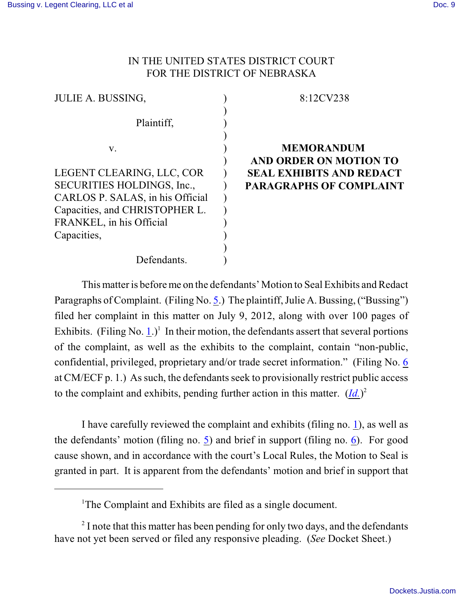## IN THE UNITED STATES DISTRICT COURT FOR THE DISTRICT OF NEBRASKA

| <b>JULIE A. BUSSING,</b>         | 8:12CV238                                          |
|----------------------------------|----------------------------------------------------|
|                                  |                                                    |
| Plaintiff,                       |                                                    |
| V.                               | <b>MEMORANDUM</b><br><b>AND ORDER ON MOTION TO</b> |
| LEGENT CLEARING, LLC, COR        | <b>SEAL EXHIBITS AND REDACT</b>                    |
| SECURITIES HOLDINGS, Inc.,       | <b>PARAGRAPHS OF COMPLAINT</b>                     |
| CARLOS P. SALAS, in his Official |                                                    |
| Capacities, and CHRISTOPHER L.   |                                                    |
| FRANKEL, in his Official         |                                                    |
| Capacities,                      |                                                    |
|                                  |                                                    |
| Defendants.                      |                                                    |

This matter is before me on the defendants' Motion to Seal Exhibits and Redact Paragraphs of Complaint. (Filing No. [5](http://ecf.ned.uscourts.gov/doc1/11302563023).) The plaintiff, Julie A. Bussing, ("Bussing") filed her complaint in this matter on July 9, 2012, along with over 100 pages of Exhibits. (Filing No.  $\underline{1}$ .)<sup>1</sup> In their motion, the defendants assert that several portions of the complaint, as well as the exhibits to the complaint, contain "non-public, confidential, privileged, proprietary and/or trade secret information." (Filing No. [6](http://ecf.ned.uscourts.gov/doc1/11302563026) at CM/ECF p. 1.) As such, the defendants seek to provisionally restrict public access to the complaint and exhibits, pending further action in this matter.  $(\underline{Id.})^2$  $(\underline{Id.})^2$  $(\underline{Id.})^2$ 

I have carefully reviewed the complaint and exhibits (filing no. [1](http://ecf.ned.uscourts.gov/doc1/11302561334)), as well as the defendants' motion (filing no. [5](http://ecf.ned.uscourts.gov/doc1/11302563023)) and brief in support (filing no. [6](http://ecf.ned.uscourts.gov/doc1/11302563026)). For good cause shown, and in accordance with the court's Local Rules, the Motion to Seal is granted in part. It is apparent from the defendants' motion and brief in support that

<sup>&</sup>lt;sup>1</sup>The Complaint and Exhibits are filed as a single document.

 $<sup>2</sup>$  I note that this matter has been pending for only two days, and the defendants</sup> have not yet been served or filed any responsive pleading. (*See* Docket Sheet.)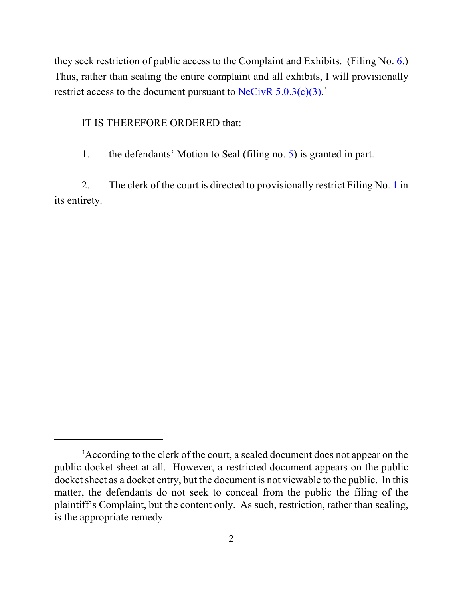they seek restriction of public access to the Complaint and Exhibits. (Filing No. [6](http://ecf.ned.uscourts.gov/doc1/11302563026).) Thus, rather than sealing the entire complaint and all exhibits, I will provisionally restrict access to the document pursuant to  $N_{\rm e}$ CivR 5.0.3(c)(3).<sup>3</sup>

## IT IS THEREFORE ORDERED that:

1. the defendants' Motion to Seal (filing no. [5](http://ecf.ned.uscourts.gov/doc1/11302563023)) is granted in part.

2. The clerk of the court is directed to provisionally restrict Filing No. [1](http://ecf.ned.uscourts.gov/doc1/11302561334) in its entirety.

<sup>&</sup>lt;sup>3</sup> According to the clerk of the court, a sealed document does not appear on the public docket sheet at all. However, a restricted document appears on the public docket sheet as a docket entry, but the document is not viewable to the public. In this matter, the defendants do not seek to conceal from the public the filing of the plaintiff's Complaint, but the content only. As such, restriction, rather than sealing, is the appropriate remedy.